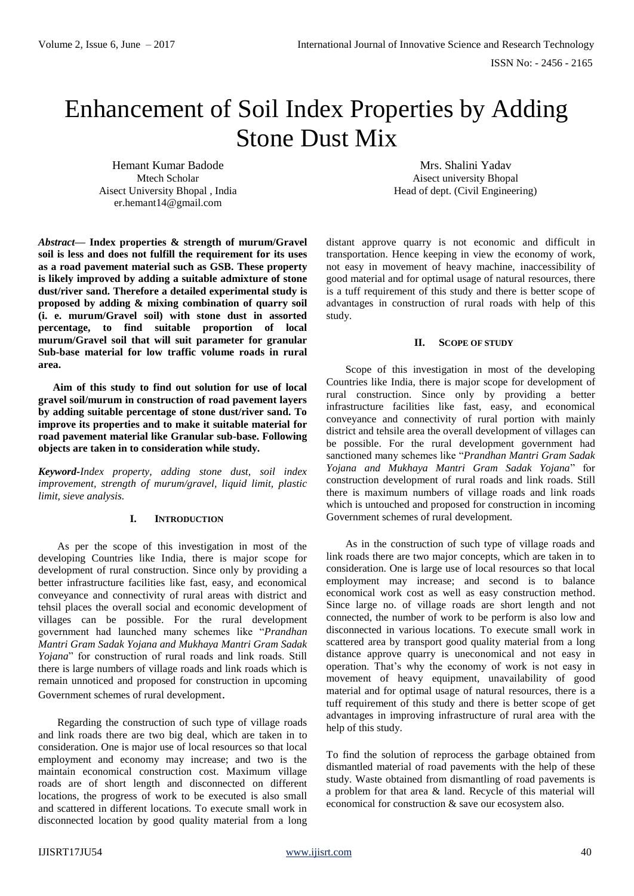# Enhancement of Soil Index Properties by Adding Stone Dust Mix

Hemant Kumar Badode Mtech Scholar Aisect University Bhopal , India er.hemant14@gmail.com

*Abstract***— Index properties & strength of murum/Gravel soil is less and does not fulfill the requirement for its uses as a road pavement material such as GSB. These property is likely improved by adding a suitable admixture of stone dust/river sand. Therefore a detailed experimental study is proposed by adding & mixing combination of quarry soil (i. e. murum/Gravel soil) with stone dust in assorted percentage, to find suitable proportion of local murum/Gravel soil that will suit parameter for granular Sub-base material for low traffic volume roads in rural area.**

**Aim of this study to find out solution for use of local gravel soil/murum in construction of road pavement layers by adding suitable percentage of stone dust/river sand. To improve its properties and to make it suitable material for road pavement material like Granular sub-base. Following objects are taken in to consideration while study.**

*Keyword-Index property, adding stone dust, soil index improvement, strength of murum/gravel, liquid limit, plastic limit, sieve analysis.*

#### **I. INTRODUCTION**

As per the scope of this investigation in most of the developing Countries like India, there is major scope for development of rural construction. Since only by providing a better infrastructure facilities like fast, easy, and economical conveyance and connectivity of rural areas with district and tehsil places the overall social and economic development of villages can be possible. For the rural development government had launched many schemes like "*Prandhan Mantri Gram Sadak Yojana and Mukhaya Mantri Gram Sadak Yojana*" for construction of rural roads and link roads. Still there is large numbers of village roads and link roads which is remain unnoticed and proposed for construction in upcoming Government schemes of rural development.

Regarding the construction of such type of village roads and link roads there are two big deal, which are taken in to consideration. One is major use of local resources so that local employment and economy may increase; and two is the maintain economical construction cost. Maximum village roads are of short length and disconnected on different locations, the progress of work to be executed is also small and scattered in different locations. To execute small work in disconnected location by good quality material from a long

Mrs. Shalini Yadav Aisect university Bhopal Head of dept. (Civil Engineering)

distant approve quarry is not economic and difficult in transportation. Hence keeping in view the economy of work, not easy in movement of heavy machine, inaccessibility of good material and for optimal usage of natural resources, there is a tuff requirement of this study and there is better scope of advantages in construction of rural roads with help of this study.

#### **II. SCOPE OF STUDY**

Scope of this investigation in most of the developing Countries like India, there is major scope for development of rural construction. Since only by providing a better infrastructure facilities like fast, easy, and economical conveyance and connectivity of rural portion with mainly district and tehsile area the overall development of villages can be possible. For the rural development government had sanctioned many schemes like "*Prandhan Mantri Gram Sadak Yojana and Mukhaya Mantri Gram Sadak Yojana*" for construction development of rural roads and link roads. Still there is maximum numbers of village roads and link roads which is untouched and proposed for construction in incoming Government schemes of rural development.

As in the construction of such type of village roads and link roads there are two major concepts, which are taken in to consideration. One is large use of local resources so that local employment may increase; and second is to balance economical work cost as well as easy construction method. Since large no. of village roads are short length and not connected, the number of work to be perform is also low and disconnected in various locations. To execute small work in scattered area by transport good quality material from a long distance approve quarry is uneconomical and not easy in operation. That's why the economy of work is not easy in movement of heavy equipment, unavailability of good material and for optimal usage of natural resources, there is a tuff requirement of this study and there is better scope of get advantages in improving infrastructure of rural area with the help of this study.

To find the solution of reprocess the garbage obtained from dismantled material of road pavements with the help of these study. Waste obtained from dismantling of road pavements is a problem for that area & land. Recycle of this material will economical for construction & save our ecosystem also.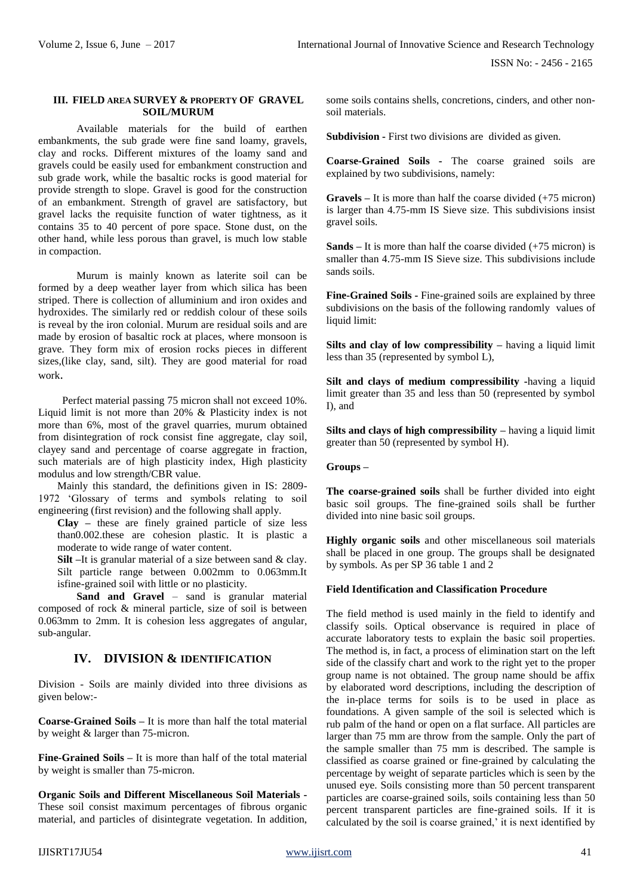#### **III. FIELD AREA SURVEY & PROPERTY OF GRAVEL SOIL/MURUM**

Available materials for the build of earthen embankments, the sub grade were fine sand loamy, gravels, clay and rocks. Different mixtures of the loamy sand and gravels could be easily used for embankment construction and sub grade work, while the basaltic rocks is good material for provide strength to slope. Gravel is good for the construction of an embankment. Strength of gravel are satisfactory, but gravel lacks the requisite function of water tightness, as it contains 35 to 40 percent of pore space. Stone dust, on the other hand, while less porous than gravel, is much low stable in compaction.

Murum is mainly known as laterite soil can be formed by a deep weather layer from which silica has been striped. There is collection of alluminium and iron oxides and hydroxides. The similarly red or reddish colour of these soils is reveal by the iron colonial. Murum are residual soils and are made by erosion of basaltic rock at places, where monsoon is grave. They form mix of erosion rocks pieces in different sizes,(like clay, sand, silt). They are good material for road work.

 Perfect material passing 75 micron shall not exceed 10%. Liquid limit is not more than 20% & Plasticity index is not more than 6%, most of the gravel quarries, murum obtained from disintegration of rock consist fine aggregate, clay soil, clayey sand and percentage of coarse aggregate in fraction, such materials are of high plasticity index, High plasticity modulus and low strength/CBR value.

Mainly this standard, the definitions given in IS: 2809- 1972 'Glossary of terms and symbols relating to soil engineering (first revision) and the following shall apply.

**Clay –** these are finely grained particle of size less than0.002.these are cohesion plastic. It is plastic a moderate to wide range of water content.

**Silt –**It is granular material of a size between sand & clay. Silt particle range between 0.002mm to 0.063mm.It isfine-grained soil with little or no plasticity.

**Sand and Gravel** – sand is granular material composed of rock & mineral particle, size of soil is between 0.063mm to 2mm. It is cohesion less aggregates of angular, sub-angular.

## **IV. DIVISION & IDENTIFICATION**

Division - Soils are mainly divided into three divisions as given below:-

**Coarse-Grained Soils** *–* It is more than half the total material by weight & larger than 75-micron.

**Fine-Grained Soils** *–* It is more than half of the total material by weight is smaller than 75-micron.

**Organic Soils and Different Miscellaneous Soil Materials -** These soil consist maximum percentages of fibrous organic material, and particles of disintegrate vegetation. In addition, some soils contains shells, concretions, cinders, and other nonsoil materials.

**Subdivision -** First two divisions are divided as given.

**Coarse-Grained Soils -** The coarse grained soils are explained by two subdivisions, namely:

**Gravels –** It is more than half the coarse divided (+75 micron) is larger than 4.75-mm IS Sieve size. This subdivisions insist gravel soils.

**Sands –** It is more than half the coarse divided (+75 micron) is smaller than 4.75-mm IS Sieve size. This subdivisions include sands soils.

**Fine-Grained Soils -** Fine-grained soils are explained by three subdivisions on the basis of the following randomly values of liquid limit:

**Silts and clay of low compressibility** *–* having a liquid limit less than 35 (represented by symbol L),

**Silt and clays of medium compressibility -**having a liquid limit greater than 35 and less than 50 (represented by symbol I), and

**Silts and clays of high compressibility** *–* having a liquid limit greater than 50 (represented by symbol H).

### **Groups –**

**The coarse-grained soils** shall be further divided into eight basic soil groups. The fine-grained soils shall be further divided into nine basic soil groups.

**Highly organic soils** and other miscellaneous soil materials shall be placed in one group. The groups shall be designated by symbols. As per SP 36 table 1 and 2

### **Field Identification and Classification Procedure**

The field method is used mainly in the field to identify and classify soils. Optical observance is required in place of accurate laboratory tests to explain the basic soil properties. The method is, in fact, a process of elimination start on the left side of the classify chart and work to the right yet to the proper group name is not obtained. The group name should be affix by elaborated word descriptions, including the description of the in-place terms for soils is to be used in place as foundations. A given sample of the soil is selected which is rub palm of the hand or open on a flat surface. All particles are larger than 75 mm are throw from the sample. Only the part of the sample smaller than 75 mm is described. The sample is classified as coarse grained or fine-grained by calculating the percentage by weight of separate particles which is seen by the unused eye. Soils consisting more than 50 percent transparent particles are coarse-grained soils, soils containing less than 50 percent transparent particles are fine-grained soils. If it is calculated by the soil is coarse grained,' it is next identified by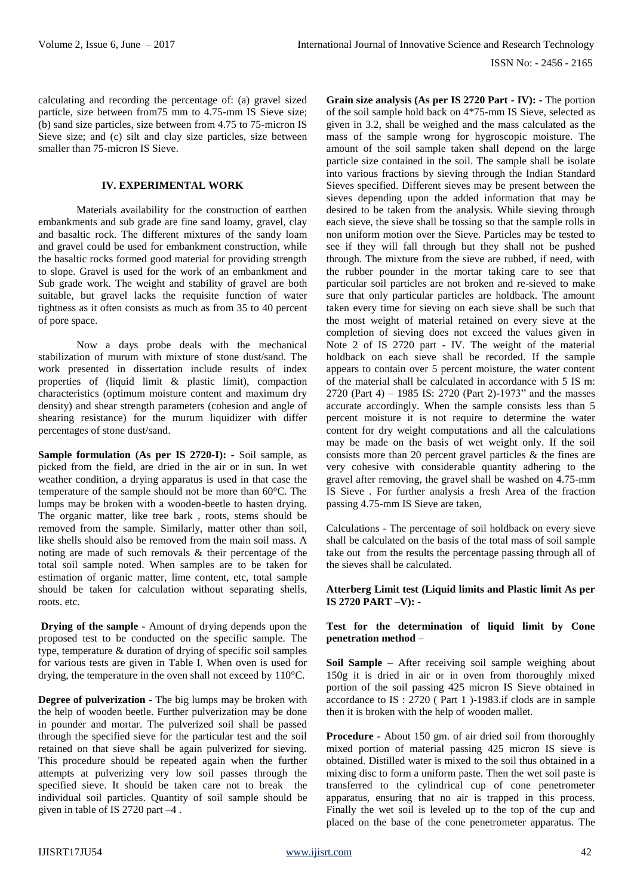calculating and recording the percentage of: (a) gravel sized particle, size between from75 mm to 4.75-mm IS Sieve size; (b) sand size particles, size between from 4.75 to 75-micron IS Sieve size; and (c) silt and clay size particles, size between smaller than 75-micron IS Sieve.

### **IV. EXPERIMENTAL WORK**

Materials availability for the construction of earthen embankments and sub grade are fine sand loamy, gravel, clay and basaltic rock. The different mixtures of the sandy loam and gravel could be used for embankment construction, while the basaltic rocks formed good material for providing strength to slope. Gravel is used for the work of an embankment and Sub grade work. The weight and stability of gravel are both suitable, but gravel lacks the requisite function of water tightness as it often consists as much as from 35 to 40 percent of pore space.

Now a days probe deals with the mechanical stabilization of murum with mixture of stone dust/sand. The work presented in dissertation include results of index properties of (liquid limit & plastic limit), compaction characteristics (optimum moisture content and maximum dry density) and shear strength parameters (cohesion and angle of shearing resistance) for the murum liquidizer with differ percentages of stone dust/sand.

**Sample formulation (As per IS 2720-I): -** Soil sample, as picked from the field, are dried in the air or in sun. In wet weather condition, a drying apparatus is used in that case the temperature of the sample should not be more than 60°C. The lumps may be broken with a wooden-beetle to hasten drying. The organic matter, like tree bark , roots, stems should be removed from the sample. Similarly, matter other than soil, like shells should also be removed from the main soil mass. A noting are made of such removals & their percentage of the total soil sample noted. When samples are to be taken for estimation of organic matter, lime content, etc, total sample should be taken for calculation without separating shells, roots. etc.

**Drying of the sample -** Amount of drying depends upon the proposed test to be conducted on the specific sample. The type, temperature & duration of drying of specific soil samples for various tests are given in Table I. When oven is used for drying, the temperature in the oven shall not exceed by 110°C.

**Degree of pulverization -** The big lumps may be broken with the help of wooden beetle. Further pulverization may be done in pounder and mortar. The pulverized soil shall be passed through the specified sieve for the particular test and the soil retained on that sieve shall be again pulverized for sieving. This procedure should be repeated again when the further attempts at pulverizing very low soil passes through the specified sieve. It should be taken care not to break the individual soil particles. Quantity of soil sample should be given in table of IS 2720 part –4 .

**Grain size analysis (As per IS 2720 Part - IV): -** The portion of the soil sample hold back on 4\*75-mm IS Sieve, selected as given in 3.2, shall be weighed and the mass calculated as the mass of the sample wrong for hygroscopic moisture. The amount of the soil sample taken shall depend on the large particle size contained in the soil. The sample shall be isolate into various fractions by sieving through the Indian Standard Sieves specified. Different sieves may be present between the sieves depending upon the added information that may be desired to be taken from the analysis. While sieving through each sieve, the sieve shall be tossing so that the sample rolls in non uniform motion over the Sieve. Particles may be tested to see if they will fall through but they shall not be pushed through. The mixture from the sieve are rubbed, if need, with the rubber pounder in the mortar taking care to see that particular soil particles are not broken and re-sieved to make sure that only particular particles are holdback. The amount taken every time for sieving on each sieve shall be such that the most weight of material retained on every sieve at the completion of sieving does not exceed the values given in Note 2 of IS 2720 part - IV. The weight of the material holdback on each sieve shall be recorded. If the sample appears to contain over 5 percent moisture, the water content of the material shall be calculated in accordance with 5 IS m: 2720 (Part 4) – 1985 IS: 2720 (Part 2)-1973" and the masses accurate accordingly. When the sample consists less than 5 percent moisture it is not require to determine the water content for dry weight computations and all the calculations may be made on the basis of wet weight only. If the soil consists more than 20 percent gravel particles & the fines are very cohesive with considerable quantity adhering to the gravel after removing, the gravel shall be washed on 4.75-mm IS Sieve . For further analysis a fresh Area of the fraction passing 4.75-mm IS Sieve are taken,

Calculations - The percentage of soil holdback on every sieve shall be calculated on the basis of the total mass of soil sample take out from the results the percentage passing through all of the sieves shall be calculated.

#### **Atterberg Limit test (Liquid limits and Plastic limit As per IS 2720 PART –V): -**

### **Test for the determination of liquid limit by Cone penetration method** –

**Soil Sample –** After receiving soil sample weighing about 150g it is dried in air or in oven from thoroughly mixed portion of the soil passing 425 micron IS Sieve obtained in accordance to IS : 2720 ( Part 1 )-1983.if clods are in sample then it is broken with the help of wooden mallet.

**Procedure -** About 150 gm. of air dried soil from thoroughly mixed portion of material passing 425 micron IS sieve is obtained. Distilled water is mixed to the soil thus obtained in a mixing disc to form a uniform paste. Then the wet soil paste is transferred to the cylindrical cup of cone penetrometer apparatus, ensuring that no air is trapped in this process. Finally the wet soil is leveled up to the top of the cup and placed on the base of the cone penetrometer apparatus. The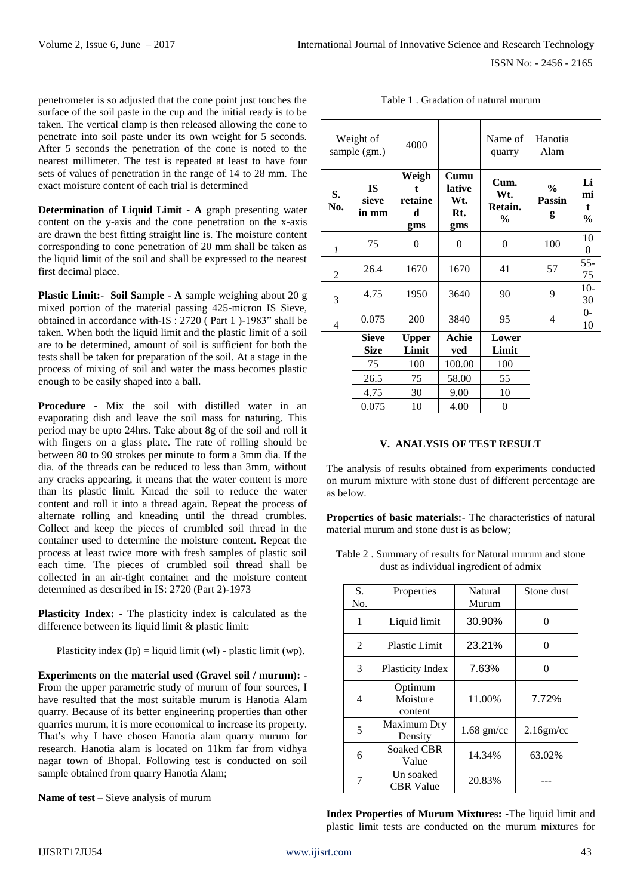penetrometer is so adjusted that the cone point just touches the surface of the soil paste in the cup and the initial ready is to be taken. The vertical clamp is then released allowing the cone to penetrate into soil paste under its own weight for 5 seconds. After 5 seconds the penetration of the cone is noted to the nearest millimeter. The test is repeated at least to have four sets of values of penetration in the range of 14 to 28 mm. The exact moisture content of each trial is determined

**Determination of Liquid Limit - A** graph presenting water content on the y-axis and the cone penetration on the x-axis are drawn the best fitting straight line is. The moisture content corresponding to cone penetration of 20 mm shall be taken as the liquid limit of the soil and shall be expressed to the nearest first decimal place.

**Plastic Limit:- Soil Sample - A** sample weighing about 20 g mixed portion of the material passing 425-micron IS Sieve, obtained in accordance with-IS : 2720 ( Part 1 )-1983" shall be taken. When both the liquid limit and the plastic limit of a soil are to be determined, amount of soil is sufficient for both the tests shall be taken for preparation of the soil. At a stage in the process of mixing of soil and water the mass becomes plastic enough to be easily shaped into a ball.

**Procedure -** Mix the soil with distilled water in an evaporating dish and leave the soil mass for naturing. This period may be upto 24hrs. Take about 8g of the soil and roll it with fingers on a glass plate. The rate of rolling should be between 80 to 90 strokes per minute to form a 3mm dia. If the dia. of the threads can be reduced to less than 3mm, without any cracks appearing, it means that the water content is more than its plastic limit. Knead the soil to reduce the water content and roll it into a thread again. Repeat the process of alternate rolling and kneading until the thread crumbles. Collect and keep the pieces of crumbled soil thread in the container used to determine the moisture content. Repeat the process at least twice more with fresh samples of plastic soil each time. The pieces of crumbled soil thread shall be collected in an air-tight container and the moisture content determined as described in IS: 2720 (Part 2)-1973

**Plasticity Index: -** The plasticity index is calculated as the difference between its liquid limit & plastic limit:

Plasticity index  $(Ip) = liquid limit (wl) - plastic limit (wp).$ 

**Experiments on the material used (Gravel soil / murum): -** From the upper parametric study of murum of four sources, I have resulted that the most suitable murum is Hanotia Alam quarry. Because of its better engineering properties than other quarries murum, it is more economical to increase its property. That's why I have chosen Hanotia alam quarry murum for research. Hanotia alam is located on 11km far from vidhya nagar town of Bhopal. Following test is conducted on soil sample obtained from quarry Hanotia Alam;

**Name of test** – Sieve analysis of murum

| Weight of<br>sample (gm.) |                             | 4000                         |                                     | Name of<br>quarry                       | Hanotia<br>Alam              |                                          |
|---------------------------|-----------------------------|------------------------------|-------------------------------------|-----------------------------------------|------------------------------|------------------------------------------|
| S.<br>No.                 | <b>IS</b><br>sieve<br>in mm | Weigh<br>retaine<br>d<br>gms | Cumu<br>lative<br>Wt.<br>Rt.<br>gms | Cum.<br>Wt.<br>Retain.<br>$\frac{6}{9}$ | $\frac{6}{9}$<br>Passin<br>g | Li<br>mi<br>$\mathbf t$<br>$\frac{6}{9}$ |
| 1                         | 75                          | 0                            | $\overline{0}$                      | $\overline{0}$                          | 100                          | 10<br>0                                  |
| 2                         | 26.4                        | 1670                         | 1670                                | 41                                      | 57                           | $55 -$<br>75                             |
| 3                         | 4.75                        | 1950                         | 3640                                | 90                                      | 9                            | $10-$<br>30                              |
| 4                         | 0.075                       | 200                          | 3840                                | 95                                      | 4                            | $0-$<br>10                               |
|                           | <b>Sieve</b><br><b>Size</b> | <b>Upper</b><br>Limit        | Achie<br>ved                        | Lower<br>Limit                          |                              |                                          |
|                           | 75                          | 100                          | 100.00                              | 100                                     |                              |                                          |
|                           | 26.5                        | 75                           | 58.00                               | 55                                      |                              |                                          |
|                           | 4.75                        | 30                           | 9.00                                | 10                                      |                              |                                          |
|                           | 0.075                       | 10                           | 4.00                                | $\overline{0}$                          |                              |                                          |

#### Table 1 . Gradation of natural murum

## **V. ANALYSIS OF TEST RESULT**

The analysis of results obtained from experiments conducted on murum mixture with stone dust of different percentage are as below.

**Properties of basic materials:-** The characteristics of natural material murum and stone dust is as below;

| Table 2. Summary of results for Natural murum and stone |
|---------------------------------------------------------|
| dust as individual ingredient of admix                  |

| S.<br>No. | Properties                     | Natural<br>Murum | Stone dust   |
|-----------|--------------------------------|------------------|--------------|
| 1         | Liquid limit                   | 30.90%           | ∩            |
| 2         | <b>Plastic Limit</b>           | 23.21%           | $\Omega$     |
| 3         | Plasticity Index               | 7.63%            | $\Omega$     |
| 4         | Optimum<br>Moisture<br>content | 11.00%           | 7.72%        |
| 5         | Maximum Dry<br>Density         | $1.68$ gm/cc     | $2.16$ gm/cc |
| 6         | <b>Soaked CBR</b><br>Value     | 14.34%           | 63.02%       |
|           | Un soaked<br><b>CBR</b> Value  | 20.83%           |              |

**Index Properties of Murum Mixtures: -**The liquid limit and plastic limit tests are conducted on the murum mixtures for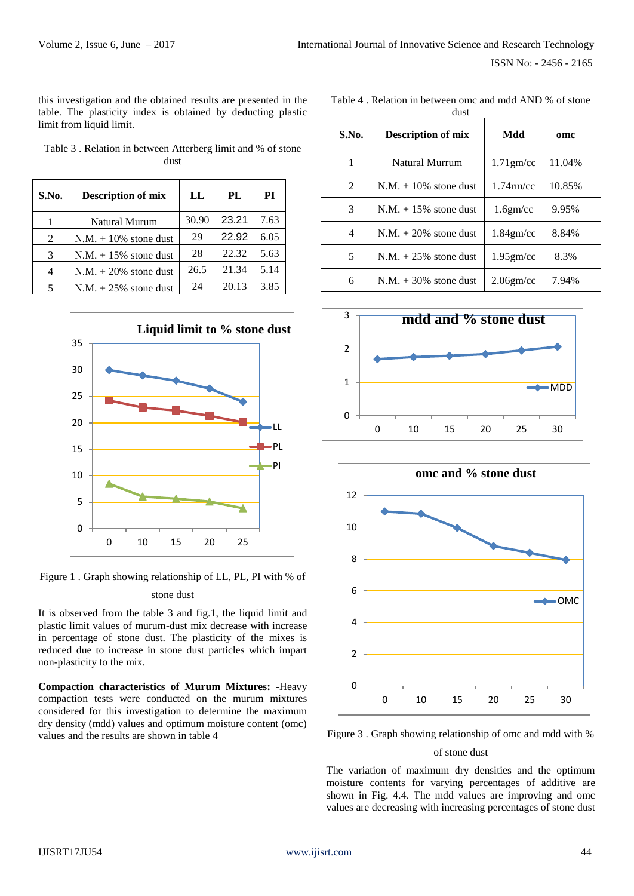this investigation and the obtained results are presented in the table. The plasticity index is obtained by deducting plastic limit from liquid limit.

Table 3 . Relation in between Atterberg limit and % of stone dust

| S.No. | <b>Description of mix</b> | LL    | PL    | PI   |
|-------|---------------------------|-------|-------|------|
|       | <b>Natural Murum</b>      | 30.90 | 23.21 | 7.63 |
| 2     | $N.M. + 10\%$ stone dust  | 29    | 22.92 | 6.05 |
| 3     | $N.M. + 15\%$ stone dust  | 28    | 22.32 | 5.63 |
|       | $N.M. + 20\%$ stone dust  | 26.5  | 21.34 | 5.14 |
| 5     | $N.M. + 25\%$ stone dust  | 24    | 20.13 | 3.85 |



Figure 1 . Graph showing relationship of LL, PL, PI with % of

### stone dust

It is observed from the table 3 and fig.1, the liquid limit and plastic limit values of murum-dust mix decrease with increase in percentage of stone dust. The plasticity of the mixes is reduced due to increase in stone dust particles which impart non-plasticity to the mix.

**Compaction characteristics of Murum Mixtures: -**Heavy compaction tests were conducted on the murum mixtures considered for this investigation to determine the maximum dry density (mdd) values and optimum moisture content (omc) values and the results are shown in table 4

Table 4 . Relation in between omc and mdd AND % of stone dust

| S.No. | <b>Description of mix</b> | Mdd          | omc    |  |  |
|-------|---------------------------|--------------|--------|--|--|
| 1     | Natural Murrum            | $1.71$ gm/cc | 11.04% |  |  |
| 2     | $N.M. + 10\%$ stone dust  | $1.74$ rm/cc | 10.85% |  |  |
| 3     | $N.M. + 15\%$ stone dust  | $1.6$ gm/cc  | 9.95%  |  |  |
| 4     | $N.M. + 20\%$ stone dust  | $1.84$ gm/cc | 8.84%  |  |  |
| 5     | $N.M. + 25\%$ stone dust  | $1.95$ gm/cc | 8.3%   |  |  |
| 6     | $N.M. + 30\%$ stone dust  | $2.06$ gm/cc | 7.94%  |  |  |





Figure 3 . Graph showing relationship of omc and mdd with %

## of stone dust

The variation of maximum dry densities and the optimum moisture contents for varying percentages of additive are shown in Fig. 4.4. The mdd values are improving and omc values are decreasing with increasing percentages of stone dust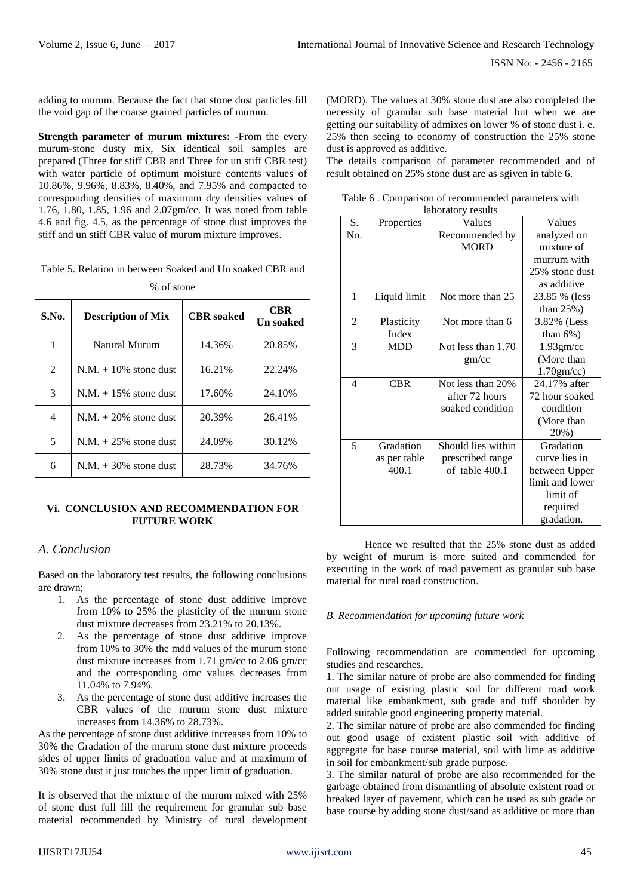adding to murum. Because the fact that stone dust particles fill the void gap of the coarse grained particles of murum.

**Strength parameter of murum mixtures: -**From the every murum-stone dusty mix, Six identical soil samples are prepared (Three for stiff CBR and Three for un stiff CBR test) with water particle of optimum moisture contents values of 10.86%, 9.96%, 8.83%, 8.40%, and 7.95% and compacted to corresponding densities of maximum dry densities values of 1.76, 1.80, 1.85, 1.96 and 2.07gm/cc. It was noted from table 4.6 and fig. 4.5, as the percentage of stone dust improves the stiff and un stiff CBR value of murum mixture improves.

Table 5. Relation in between Soaked and Un soaked CBR and

| S.No. | <b>Description of Mix</b> | <b>CBR</b> soaked | <b>CBR</b><br><b>Un soaked</b> |
|-------|---------------------------|-------------------|--------------------------------|
| 1     | Natural Murum             | 14.36%            | 20.85%                         |
| 2     | $N.M. + 10\%$ stone dust  | 16.21%            | 22.24%                         |
| 3     | $N.M. + 15\%$ stone dust  | 17.60%            | 24.10%                         |
| 4     | $N.M. + 20\%$ stone dust  | 20.39%            | 26.41%                         |
| 5     | $N.M. + 25\%$ stone dust  | 24.09%            | 30.12%                         |
| 6     | $N.M. + 30\%$ stone dust  | 28.73%            | 34.76%                         |

#### % of stone

#### **Vi. CONCLUSION AND RECOMMENDATION FOR FUTURE WORK**

## *A. Conclusion*

Based on the laboratory test results, the following conclusions are drawn;

- 1. As the percentage of stone dust additive improve from 10% to 25% the plasticity of the murum stone dust mixture decreases from 23.21% to 20.13%.
- 2. As the percentage of stone dust additive improve from 10% to 30% the mdd values of the murum stone dust mixture increases from 1.71 gm/cc to 2.06 gm/cc and the corresponding omc values decreases from 11.04% to 7.94%.
- 3. As the percentage of stone dust additive increases the CBR values of the murum stone dust mixture increases from 14.36% to 28.73%.

As the percentage of stone dust additive increases from 10% to 30% the Gradation of the murum stone dust mixture proceeds sides of upper limits of graduation value and at maximum of 30% stone dust it just touches the upper limit of graduation.

It is observed that the mixture of the murum mixed with 25% of stone dust full fill the requirement for granular sub base material recommended by Ministry of rural development (MORD). The values at 30% stone dust are also completed the necessity of granular sub base material but when we are getting our suitability of admixes on lower % of stone dust i. e. 25% then seeing to economy of construction the 25% stone dust is approved as additive.

The details comparison of parameter recommended and of result obtained on 25% stone dust are as sgiven in table 6.

Table 6 . Comparison of recommended parameters with laboratory results

| S.  | Properties   | noorutor y results<br>Values | Values          |
|-----|--------------|------------------------------|-----------------|
| No. |              | Recommended by               | analyzed on     |
|     |              | <b>MORD</b>                  | mixture of      |
|     |              |                              | murrum with     |
|     |              |                              | 25% stone dust  |
|     |              |                              | as additive     |
| 1   | Liquid limit | Not more than 25             | 23.85 % (less   |
|     |              |                              | than $25\%$ )   |
| 2   | Plasticity   | Not more than 6              | 3.82% (Less)    |
|     | Index        |                              | than $6\%$ )    |
| 3   | <b>MDD</b>   | Not less than 1.70           | $1.93$ gm/cc    |
|     |              | gm/cc                        | (More than      |
|     |              |                              | $1.70$ gm/cc)   |
| 4   | <b>CBR</b>   | Not less than 20%            | 24.17% after    |
|     |              | after 72 hours               | 72 hour soaked  |
|     |              | soaked condition             | condition       |
|     |              |                              | (More than      |
|     |              |                              | 20%)            |
| 5   | Gradation    | Should lies within           | Gradation       |
|     | as per table | prescribed range             | curve lies in   |
|     | 400.1        | of table 400.1               | between Upper   |
|     |              |                              | limit and lower |
|     |              |                              | limit of        |
|     |              |                              | required        |
|     |              |                              | gradation.      |

Hence we resulted that the 25% stone dust as added by weight of murum is more suited and commended for executing in the work of road pavement as granular sub base material for rural road construction.

### *B. Recommendation for upcoming future work*

Following recommendation are commended for upcoming studies and researches.

1. The similar nature of probe are also commended for finding out usage of existing plastic soil for different road work material like embankment, sub grade and tuff shoulder by added suitable good engineering property material.

2. The similar nature of probe are also commended for finding out good usage of existent plastic soil with additive of aggregate for base course material, soil with lime as additive in soil for embankment/sub grade purpose.

3. The similar natural of probe are also recommended for the garbage obtained from dismantling of absolute existent road or breaked layer of pavement, which can be used as sub grade or base course by adding stone dust/sand as additive or more than